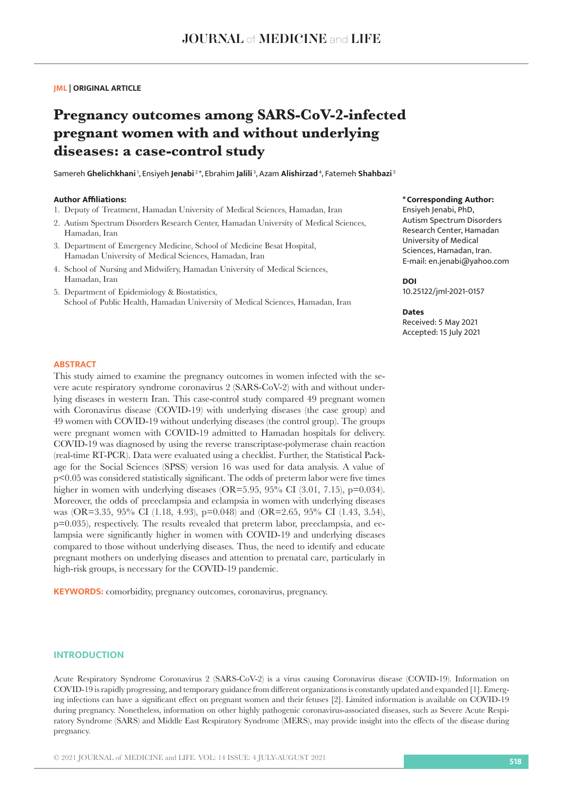## **JML | ORIGINAL ARTICLE**

# **Pregnancy outcomes among SARS-CoV-2-infected pregnant women with and without underlying diseases: a case-control study**

Samereh **Ghelichkhani** 1, Ensiyeh **Jenabi** 2 \*, Ebrahim **Jalili** 3, Azam **Alishirzad** 4, Fatemeh **Shahbazi**<sup>5</sup>

#### **Author Affiliations:**

- 1. Deputy of Treatment, Hamadan University of Medical Sciences, Hamadan, Iran
- 2. Autism Spectrum Disorders Research Center, Hamadan University of Medical Sciences, Hamadan, Iran
- 3. Department of Emergency Medicine, School of Medicine Besat Hospital, Hamadan University of Medical Sciences, Hamadan, Iran
- 4. School of Nursing and Midwifery, Hamadan University of Medical Sciences, Hamadan, Iran
- 5. Department of Epidemiology & Biostatistics, School of Public Health, Hamadan University of Medical Sciences, Hamadan, Iran

## **\*Corresponding Author:**

Ensiyeh Jenabi, PhD, Autism Spectrum Disorders Research Center, Hamadan University of Medical Sciences, Hamadan, Iran. E-mail: en.jenabi@yahoo.com

## **DOI**

10.25122/jml-2021-0157

#### **Dates**

Received: 5 May 2021 Accepted: 15 July 2021

## **ABSTRACT**

This study aimed to examine the pregnancy outcomes in women infected with the severe acute respiratory syndrome coronavirus 2 (SARS-CoV-2) with and without underlying diseases in western Iran. This case-control study compared 49 pregnant women with Coronavirus disease (COVID-19) with underlying diseases (the case group) and 49 women with COVID-19 without underlying diseases (the control group). The groups were pregnant women with COVID-19 admitted to Hamadan hospitals for delivery. COVID-19 was diagnosed by using the reverse transcriptase-polymerase chain reaction (real-time RT-PCR). Data were evaluated using a checklist. Further, the Statistical Package for the Social Sciences (SPSS) version 16 was used for data analysis. A value of p<0.05 was considered statistically significant. The odds of preterm labor were five times higher in women with underlying diseases (OR=5.95, 95% CI (3.01, 7.15), p=0.034). Moreover, the odds of preeclampsia and eclampsia in women with underlying diseases was (OR=3.35, 95% CI (1.18, 4.93), p=0.048) and (OR=2.65, 95% CI (1.43, 3.54), p=0.035), respectively. The results revealed that preterm labor, preeclampsia, and eclampsia were significantly higher in women with COVID-19 and underlying diseases compared to those without underlying diseases. Thus, the need to identify and educate pregnant mothers on underlying diseases and attention to prenatal care, particularly in high-risk groups, is necessary for the COVID-19 pandemic.

**KEYWORDS:** comorbidity, pregnancy outcomes, coronavirus, pregnancy.

#### **INTRODUCTION**

Acute Respiratory Syndrome Coronavirus 2 (SARS-CoV-2) is a virus causing Coronavirus disease (COVID-19). Information on COVID-19 is rapidly progressing, and temporary guidance from different organizations is constantly updated and expanded [1]. Emerging infections can have a significant effect on pregnant women and their fetuses [2]. Limited information is available on COVID-19 during pregnancy. Nonetheless, information on other highly pathogenic coronavirus-associated diseases, such as Severe Acute Respiratory Syndrome (SARS) and Middle East Respiratory Syndrome (MERS), may provide insight into the effects of the disease during pregnancy.

© 2021 JOURNAL of MEDICINE and LIFE. VOL: 14 ISSUE: 4 JULY-AUGUST 2021 **<sup>518</sup>**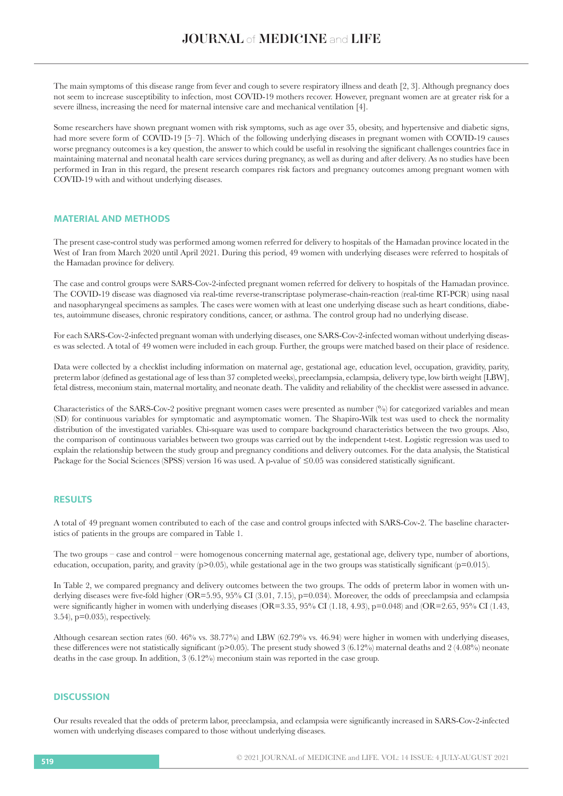The main symptoms of this disease range from fever and cough to severe respiratory illness and death [2, 3]. Although pregnancy does not seem to increase susceptibility to infection, most COVID-19 mothers recover. However, pregnant women are at greater risk for a severe illness, increasing the need for maternal intensive care and mechanical ventilation [4].

Some researchers have shown pregnant women with risk symptoms, such as age over 35, obesity, and hypertensive and diabetic signs, had more severe form of COVID-19 [5–7]. Which of the following underlying diseases in pregnant women with COVID-19 causes worse pregnancy outcomes is a key question, the answer to which could be useful in resolving the significant challenges countries face in maintaining maternal and neonatal health care services during pregnancy, as well as during and after delivery. As no studies have been performed in Iran in this regard, the present research compares risk factors and pregnancy outcomes among pregnant women with COVID-19 with and without underlying diseases.

## **MATERIAL AND METHODS**

The present case-control study was performed among women referred for delivery to hospitals of the Hamadan province located in the West of Iran from March 2020 until April 2021. During this period, 49 women with underlying diseases were referred to hospitals of the Hamadan province for delivery.

The case and control groups were SARS-Cov-2-infected pregnant women referred for delivery to hospitals of the Hamadan province. The COVID-19 disease was diagnosed via real-time reverse-transcriptase polymerase-chain-reaction (real-time RT-PCR) using nasal and nasopharyngeal specimens as samples. The cases were women with at least one underlying disease such as heart conditions, diabetes, autoimmune diseases, chronic respiratory conditions, cancer, or asthma. The control group had no underlying disease.

For each SARS-Cov-2-infected pregnant woman with underlying diseases, one SARS-Cov-2-infected woman without underlying diseases was selected. A total of 49 women were included in each group. Further, the groups were matched based on their place of residence.

Data were collected by a checklist including information on maternal age, gestational age, education level, occupation, gravidity, parity, preterm labor (defined as gestational age of less than 37 completed weeks), preeclampsia, eclampsia, delivery type, low birth weight [LBW], fetal distress, meconium stain, maternal mortality, and neonate death. The validity and reliability of the checklist were assessed in advance.

Characteristics of the SARS-Cov-2 positive pregnant women cases were presented as number  $\binom{0}{0}$  for categorized variables and mean (SD) for continuous variables for symptomatic and asymptomatic women. The Shapiro-Wilk test was used to check the normality distribution of the investigated variables. Chi-square was used to compare background characteristics between the two groups. Also, the comparison of continuous variables between two groups was carried out by the independent t-test. Logistic regression was used to explain the relationship between the study group and pregnancy conditions and delivery outcomes. For the data analysis, the Statistical Package for the Social Sciences (SPSS) version 16 was used. A p-value of ≤0.05 was considered statistically significant.

## **RESULTS**

A total of 49 pregnant women contributed to each of the case and control groups infected with SARS-Cov-2. The baseline characteristics of patients in the groups are compared in Table 1.

The two groups – case and control – were homogenous concerning maternal age, gestational age, delivery type, number of abortions, education, occupation, parity, and gravity  $(p>0.05)$ , while gestational age in the two groups was statistically significant  $(p=0.015)$ .

In Table 2, we compared pregnancy and delivery outcomes between the two groups. The odds of preterm labor in women with underlying diseases were five-fold higher (OR=5.95, 95% CI (3.01, 7.15), p=0.034). Moreover, the odds of preeclampsia and eclampsia were significantly higher in women with underlying diseases (OR=3.35, 95% CI (1.18, 4.93), p=0.048) and (OR=2.65, 95% CI (1.43, 3.54), p=0.035), respectively.

Although cesarean section rates  $(60. 46\%$  vs.  $38.77\%)$  and LBW  $(62.79\%$  vs.  $46.94)$  were higher in women with underlying diseases, these differences were not statistically significant ( $p>0.05$ ). The present study showed 3 (6.12%) maternal deaths and 2 (4.08%) neonate deaths in the case group. In addition, 3 (6.12%) meconium stain was reported in the case group.

## **DISCUSSION**

Our results revealed that the odds of preterm labor, preeclampsia, and eclampsia were significantly increased in SARS-Cov-2-infected women with underlying diseases compared to those without underlying diseases.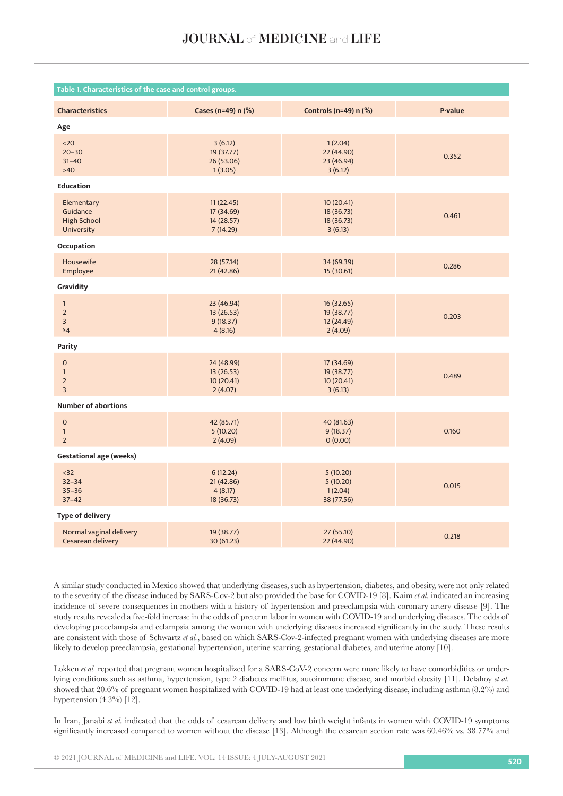| Table 1. Characteristics of the case and control groups.                |                                                   |                                                   |         |  |  |  |
|-------------------------------------------------------------------------|---------------------------------------------------|---------------------------------------------------|---------|--|--|--|
| <b>Characteristics</b>                                                  | Cases (n=49) n (%)                                | Controls (n=49) $n$ (%)                           | P-value |  |  |  |
| Age                                                                     |                                                   |                                                   |         |  |  |  |
| $20$<br>$20 - 30$<br>$31 - 40$<br>$>40$                                 | 3(6.12)<br>19 (37.77)<br>26 (53.06)<br>1(3.05)    | 1(2.04)<br>22 (44.90)<br>23 (46.94)<br>3(6.12)    | 0.352   |  |  |  |
| <b>Education</b>                                                        |                                                   |                                                   |         |  |  |  |
| Elementary<br>Guidance<br><b>High School</b><br>University              | 11(22.45)<br>17 (34.69)<br>14 (28.57)<br>7(14.29) | 10 (20.41)<br>18 (36.73)<br>18 (36.73)<br>3(6.13) | 0.461   |  |  |  |
| Occupation                                                              |                                                   |                                                   |         |  |  |  |
| Housewife<br>Employee                                                   | 28 (57.14)<br>21 (42.86)                          | 34 (69.39)<br>15 (30.61)                          | 0.286   |  |  |  |
| Gravidity                                                               |                                                   |                                                   |         |  |  |  |
| $\mathbf{1}$<br>$\overline{2}$<br>$\overline{3}$<br>$\geq 4$            | 23 (46.94)<br>13(26.53)<br>9(18.37)<br>4(8.16)    | 16 (32.65)<br>19 (38.77)<br>12 (24.49)<br>2(4.09) | 0.203   |  |  |  |
| Parity                                                                  |                                                   |                                                   |         |  |  |  |
| $\mathsf{O}\xspace$<br>$\mathbf{1}$<br>$\overline{2}$<br>$\overline{3}$ | 24 (48.99)<br>13(26.53)<br>10 (20.41)<br>2(4.07)  | 17 (34.69)<br>19 (38.77)<br>10(20.41)<br>3(6.13)  | 0.489   |  |  |  |
| <b>Number of abortions</b>                                              |                                                   |                                                   |         |  |  |  |
| $\mathsf{O}\xspace$<br>$\mathbf{1}$<br>$\overline{2}$                   | 42 (85.71)<br>5(10.20)<br>2(4.09)                 | 40 (81.63)<br>9(18.37)<br>0(0.00)                 | 0.160   |  |  |  |
| <b>Gestational age (weeks)</b>                                          |                                                   |                                                   |         |  |  |  |
| $32$<br>$32 - 34$<br>$35 - 36$<br>$37 - 42$                             | 6(12.24)<br>21 (42.86)<br>4(8.17)<br>18 (36.73)   | 5(10.20)<br>5(10.20)<br>1(2.04)<br>38 (77.56)     | 0.015   |  |  |  |
| <b>Type of delivery</b>                                                 |                                                   |                                                   |         |  |  |  |
| Normal vaginal delivery<br>Cesarean delivery                            | 19 (38.77)<br>30 (61.23)                          | 27 (55.10)<br>22 (44.90)                          | 0.218   |  |  |  |

A similar study conducted in Mexico showed that underlying diseases, such as hypertension, diabetes, and obesity, were not only related to the severity of the disease induced by SARS-Cov-2 but also provided the base for COVID-19 [8]. Kaim *et al.* indicated an increasing incidence of severe consequences in mothers with a history of hypertension and preeclampsia with coronary artery disease [9]. The study results revealed a five-fold increase in the odds of preterm labor in women with COVID-19 and underlying diseases. The odds of developing preeclampsia and eclampsia among the women with underlying diseases increased significantly in the study. These results are consistent with those of Schwartz *et al.*, based on which SARS-Cov-2-infected pregnant women with underlying diseases are more likely to develop preeclampsia, gestational hypertension, uterine scarring, gestational diabetes, and uterine atony [10].

Lokken *et al.* reported that pregnant women hospitalized for a SARS-CoV-2 concern were more likely to have comorbidities or underlying conditions such as asthma, hypertension, type 2 diabetes mellitus, autoimmune disease, and morbid obesity [11]. Delahoy *et al.* showed that 20.6% of pregnant women hospitalized with COVID-19 had at least one underlying disease, including asthma (8.2%) and hypertension  $(4.3\%)$  [12].

In Iran, Janabi *et al.* indicated that the odds of cesarean delivery and low birth weight infants in women with COVID-19 symptoms significantly increased compared to women without the disease [13]. Although the cesarean section rate was 60.46% vs. 38.77% and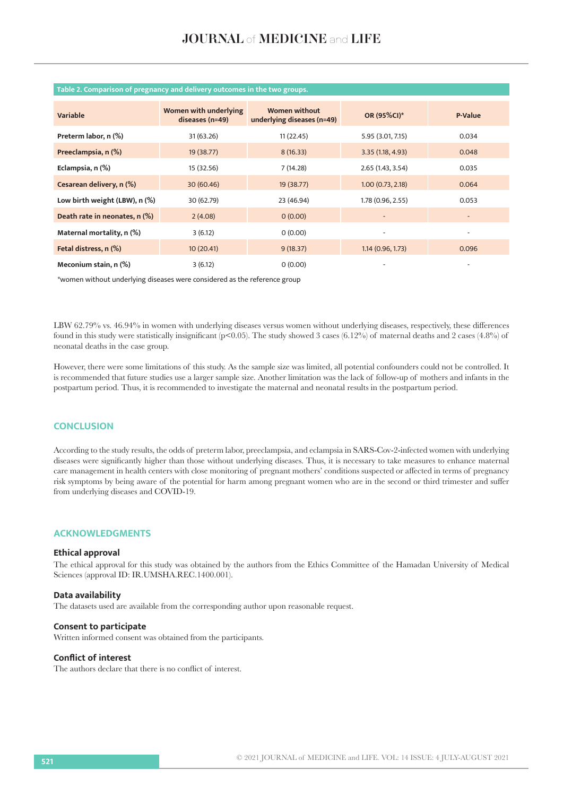| <b>Variable</b>               | Women with underlying<br>diseases (n=49) | <b>Women without</b><br>underlying diseases (n=49) | OR (95%CI)*              | <b>P-Value</b>           |
|-------------------------------|------------------------------------------|----------------------------------------------------|--------------------------|--------------------------|
| Preterm labor, n (%)          | 31 (63.26)                               | 11(22.45)                                          | 5.95 (3.01, 7.15)        | 0.034                    |
| Preeclampsia, n (%)           | 19 (38.77)                               | 8(16.33)                                           | 3.35(1.18, 4.93)         | 0.048                    |
| Eclampsia, n (%)              | 15 (32.56)                               | 7(14.28)                                           | 2.65 (1.43, 3.54)        | 0.035                    |
| Cesarean delivery, n (%)      | 30 (60.46)                               | 19 (38.77)                                         | 1.00(0.73, 2.18)         | 0.064                    |
| Low birth weight (LBW), n (%) | 30 (62.79)                               | 23 (46.94)                                         | 1.78 (0.96, 2.55)        | 0.053                    |
| Death rate in neonates, n (%) | 2(4.08)                                  | 0(0.00)                                            | $\overline{\phantom{a}}$ | $\overline{\phantom{a}}$ |
| Maternal mortality, n (%)     | 3(6.12)                                  | 0(0.00)                                            |                          | ٠                        |
| Fetal distress, n (%)         | 10(20.41)                                | 9(18.37)                                           | 1.14(0.96, 1.73)         | 0.096                    |
| Meconium stain, n (%)         | 3(6.12)                                  | 0(0.00)                                            |                          |                          |

## **Table 2. Comparison of pregnancy and delivery outcomes in the two groups.**

\*women without underlying diseases were considered as the reference group

LBW 62.79% vs. 46.94% in women with underlying diseases versus women without underlying diseases, respectively, these differences found in this study were statistically insignificant (p<0.05). The study showed 3 cases (6.12%) of maternal deaths and 2 cases (4.8%) of neonatal deaths in the case group.

However, there were some limitations of this study. As the sample size was limited, all potential confounders could not be controlled. It is recommended that future studies use a larger sample size. Another limitation was the lack of follow-up of mothers and infants in the postpartum period. Thus, it is recommended to investigate the maternal and neonatal results in the postpartum period.

## **CONCLUSION**

According to the study results, the odds of preterm labor, preeclampsia, and eclampsia in SARS-Cov-2-infected women with underlying diseases were significantly higher than those without underlying diseases. Thus, it is necessary to take measures to enhance maternal care management in health centers with close monitoring of pregnant mothers' conditions suspected or affected in terms of pregnancy risk symptoms by being aware of the potential for harm among pregnant women who are in the second or third trimester and suffer from underlying diseases and COVID-19.

## **ACKNOWLEDGMENTS**

#### **Ethical approval**

The ethical approval for this study was obtained by the authors from the Ethics Committee of the Hamadan University of Medical Sciences (approval ID: IR.UMSHA.REC.1400.001).

#### **Data availability**

The datasets used are available from the corresponding author upon reasonable request.

#### **Consent to participate**

Written informed consent was obtained from the participants.

#### **Conflict of interest**

The authors declare that there is no conflict of interest.